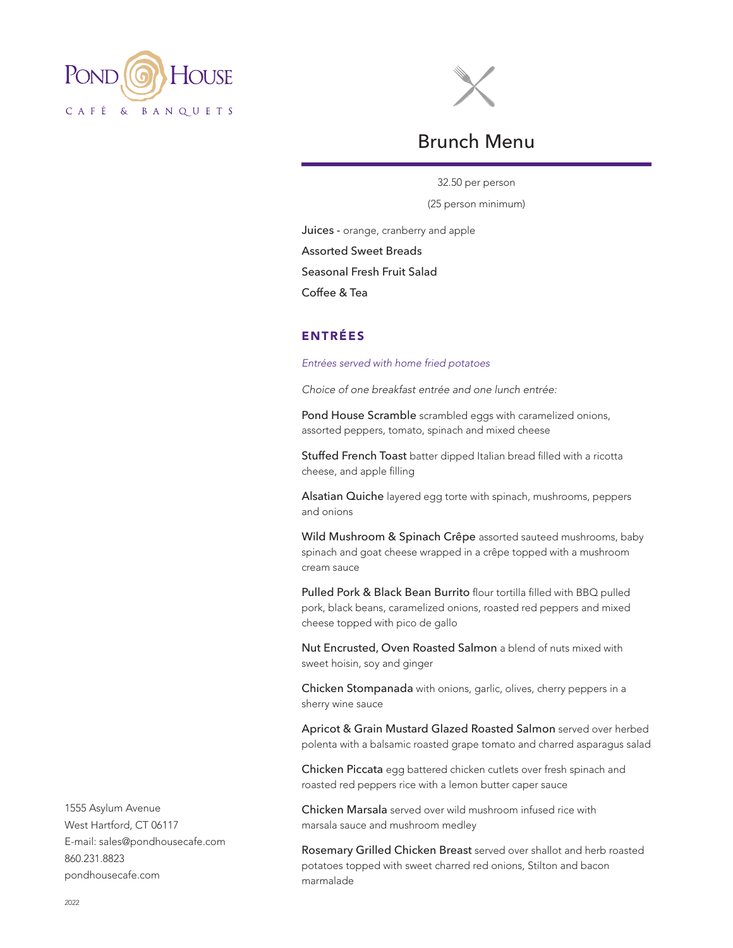



# Brunch Menu

32.50 per person (25 person minimum)

Juices - orange, cranberry and apple Assorted Sweet Breads Seasonal Fresh Fruit Salad

Coffee & Tea

# ENTRÉES

*Entrées served with home fried potatoes*

*Choice of one breakfast entrée and one lunch entrée:*

Pond House Scramble scrambled eggs with caramelized onions, assorted peppers, tomato, spinach and mixed cheese

Stuffed French Toast batter dipped Italian bread filled with a ricotta cheese, and apple filling

Alsatian Quiche layered egg torte with spinach, mushrooms, peppers and onions

Wild Mushroom & Spinach Crêpe assorted sauteed mushrooms, baby spinach and goat cheese wrapped in a crêpe topped with a mushroom cream sauce

Pulled Pork & Black Bean Burrito flour tortilla filled with BBQ pulled pork, black beans, caramelized onions, roasted red peppers and mixed cheese topped with pico de gallo

Nut Encrusted, Oven Roasted Salmon a blend of nuts mixed with sweet hoisin, soy and ginger

Chicken Stompanada with onions, garlic, olives, cherry peppers in a sherry wine sauce

Apricot & Grain Mustard Glazed Roasted Salmon served over herbed polenta with a balsamic roasted grape tomato and charred asparagus salad

Chicken Piccata egg battered chicken cutlets over fresh spinach and roasted red peppers rice with a lemon butter caper sauce

Chicken Marsala served over wild mushroom infused rice with marsala sauce and mushroom medley

Rosemary Grilled Chicken Breast served over shallot and herb roasted potatoes topped with sweet charred red onions, Stilton and bacon marmalade

1555 Asylum Avenue West Hartford, CT 06117 E-mail: sales@pondhousecafe.com 860.231.8823 pondhousecafe.com